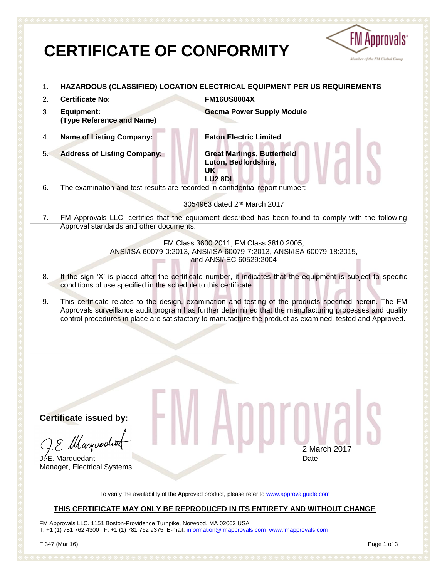# **CERTIFICATE OF CONFORMITY**



- 1. **HAZARDOUS (CLASSIFIED) LOCATION ELECTRICAL EQUIPMENT PER US REQUIREMENTS**
- 2. **Certificate No: FM16US0004X**
- 3. **Equipment: (Type Reference and Name)**

**Gecma Power Supply Module**

4. **Name of Listing Company: Eaton Electric Limited**

5. **Address of Listing Company: Great Marlings, Butterfield**

**Luton, Bedfordshire, UK LU2 8DL** 

6. The examination and test results are recorded in confidential report number:

3054963 dated 2<sup>nd</sup> March 2017

7. FM Approvals LLC, certifies that the equipment described has been found to comply with the following Approval standards and other documents:

> FM Class 3600:2011, FM Class 3810:2005, ANSI/ISA 60079-0:2013, ANSI/ISA 60079-7:2013, ANSI/ISA 60079-18:2015, and ANSI/IEC 60529:2004

- 8. If the sign 'X' is placed after the certificate number, it indicates that the equipment is subject to specific conditions of use specified in the schedule to this certificate.
- 9. This certificate relates to the design, examination and testing of the products specified herein. The FM Approvals surveillance audit program has further determined that the manufacturing processes and quality control procedures in place are satisfactory to manufacture the product as examined, tested and Approved.

**Certificate issued by:**

9. Marguerdin

J.<sup>*L*</sup>E. Marquedant Manager, Electrical Systems

2 March 2017 Date

To verify the availability of the Approved product, please refer to [www.approvalguide.com](http://www.approvalguide.com/)

### **THIS CERTIFICATE MAY ONLY BE REPRODUCED IN ITS ENTIRETY AND WITHOUT CHANGE**

FM Approvals LLC. 1151 Boston-Providence Turnpike, Norwood, MA 02062 USA T: +1 (1) 781 762 4300 F: +1 (1) 781 762 9375 E-mail[: information@fmapprovals.com](mailto:information@fmapprovals.com) [www.fmapprovals.com](http://www.fmapprovals.com/)

F 347 (Mar 16) Page 1 of 3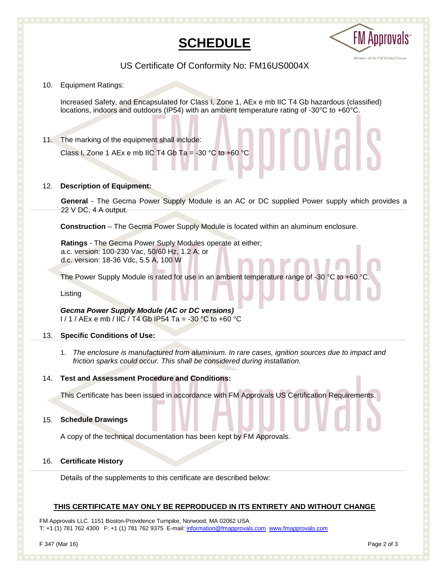## **SCHEDULE**



US Certificate Of Conformity No: FM16US0004X

10. Equipment Ratings:

Increased Safety, and Encapsulated for Class I, Zone 1, AEx e mb IIC T4 Gb hazardous (classified) locations, indoors and outdoors (IP54) with an ambient temperature rating of -30°C to +60°C.

11. The marking of the equipment shall include:

Class I, Zone 1 AEx e mb IIC T4 Gb Ta = -30  $^{\circ}$ C to +60  $^{\circ}$ C

#### 12. **Description of Equipment:**

**General** - The Gecma Power Supply Module is an AC or DC supplied Power supply which provides a 22 V DC, 4 A output.

**Construction** – The Gecma Power Supply Module is located within an aluminum enclosure.

**Ratings** - The Gecma Power Suply Modules operate at either; a.c. version: 100-230 Vac, 50/60 Hz, 1.2 A; or d.c. version: 18-36 Vdc, 5.5 A, 100 W

The Power Supply Module is rated for use in an ambient temperature range of -30 °C to +60 °C.

Listing

*Gecma Power Supply Module (AC or DC versions)*  $1/1$  / AEx e mb / IIC / T4 Gb IP54 Ta = -30 °C to +60 °C

#### 13. 1 **Specific Conditions of Use:**

1. *The enclosure is manufactured from aluminium. In rare cases, ignition sources due to impact and friction sparks could occur. This shall be considered during installation.*

#### 14. 1 **Test and Assessment Procedure and Conditions:**

This Certificate has been issued in accordance with FM Approvals US Certification Requirements.

#### 15. 1 **Schedule Drawings**

A copy of the technical documentation has been kept by FM Approvals.

#### 16. 1 **Certificate History**

Details of the supplements to this certificate are described below:

#### **THIS CERTIFICATE MAY ONLY BE REPRODUCED IN ITS ENTIRETY AND WITHOUT CHANGE**

FM Approvals LLC. 1151 Boston-Providence Turnpike, Norwood, MA 02062 USA T: +1 (1) 781 762 4300 F: +1 (1) 781 762 9375 E-mail[: information@fmapprovals.com](mailto:information@fmapprovals.com) [www.fmapprovals.com](http://www.fmapprovals.com/)